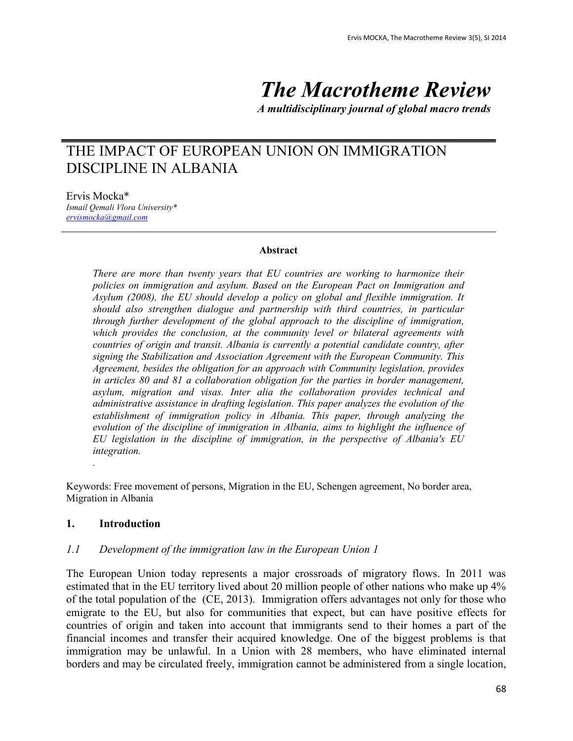# *The Macrotheme Review*

*A multidisciplinary journal of global macro trends*

# THE IMPACT OF EUROPEAN UNION ON IMMIGRATION DISCIPLINE IN ALBANIA

Ervis Mocka\* *Ismail Qemali Vlora University\* [ervismocka@gmail.com](mailto:ervismocka@gmail.com)*

#### **Abstract**

*There are more than twenty years that EU countries are working to harmonize their policies on immigration and asylum. Based on the European Pact on Immigration and Asylum (2008), the EU should develop a policy on global and flexible immigration. It should also strengthen dialogue and partnership with third countries, in particular through further development of the global approach to the discipline of immigration, which provides the conclusion, at the community level or bilateral agreements with countries of origin and transit. Albania is currently a potential candidate country, after signing the Stabilization and Association Agreement with the European Community. This Agreement, besides the obligation for an approach with Community legislation, provides in articles 80 and 81 a collaboration obligation for the parties in border management, asylum, migration and visas. Inter alia the collaboration provides technical and administrative assistance in drafting legislation. This paper analyzes the evolution of the establishment of immigration policy in Albania. This paper, through analyzing the evolution of the discipline of immigration in Albania, aims to highlight the influence of EU legislation in the discipline of immigration, in the perspective of Albania's EU integration.*

Keywords: Free movement of persons, Migration in the EU, Schengen agreement, No border area, Migration in Albania

#### **1. Introduction**

*.*

#### *1.1 Development of the immigration law in the European Union 1*

The European Union today represents a major crossroads of migratory flows. In 2011 was estimated that in the EU territory lived about 20 million people of other nations who make up 4% of the total population of the (CE, 2013). Immigration offers advantages not only for those who emigrate to the EU, but also for communities that expect, but can have positive effects for countries of origin and taken into account that immigrants send to their homes a part of the financial incomes and transfer their acquired knowledge. One of the biggest problems is that immigration may be unlawful. In a Union with 28 members, who have eliminated internal borders and may be circulated freely, immigration cannot be administered from a single location,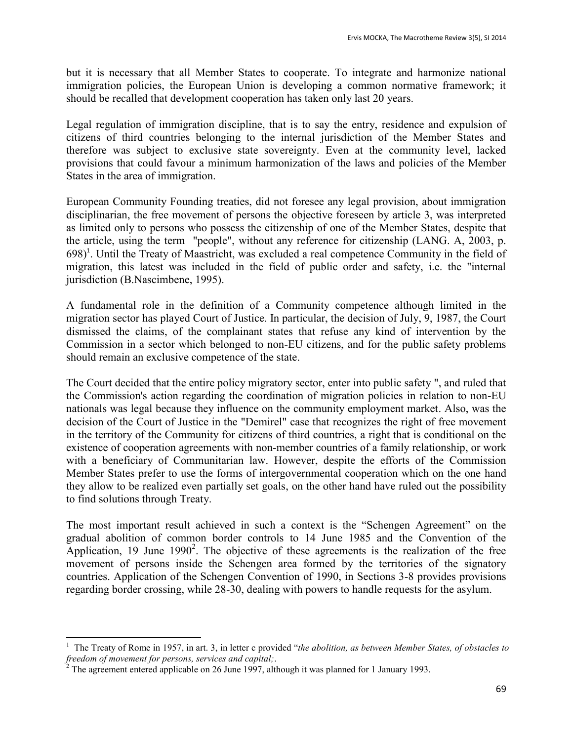but it is necessary that all Member States to cooperate. To integrate and harmonize national immigration policies, the European Union is developing a common normative framework; it should be recalled that development cooperation has taken only last 20 years.

Legal regulation of immigration discipline, that is to say the entry, residence and expulsion of citizens of third countries belonging to the internal jurisdiction of the Member States and therefore was subject to exclusive state sovereignty. Even at the community level, lacked provisions that could favour a minimum harmonization of the laws and policies of the Member States in the area of immigration.

European Community Founding treaties, did not foresee any legal provision, about immigration disciplinarian, the free movement of persons the objective foreseen by article 3, was interpreted as limited only to persons who possess the citizenship of one of the Member States, despite that the article, using the term "people", without any reference for citizenship (LANG. A, 2003, p. 698)<sup>1</sup>. Until the Treaty of Maastricht, was excluded a real competence Community in the field of migration, this latest was included in the field of public order and safety, i.e. the "internal jurisdiction (B.Nascimbene, 1995).

A fundamental role in the definition of a Community competence although limited in the migration sector has played Court of Justice. In particular, the decision of July, 9, 1987, the Court dismissed the claims, of the complainant states that refuse any kind of intervention by the Commission in a sector which belonged to non-EU citizens, and for the public safety problems should remain an exclusive competence of the state.

The Court decided that the entire policy migratory sector, enter into public safety ", and ruled that the Commission's action regarding the coordination of migration policies in relation to non-EU nationals was legal because they influence on the community employment market. Also, was the decision of the Court of Justice in the "Demirel" case that recognizes the right of free movement in the territory of the Community for citizens of third countries, a right that is conditional on the existence of cooperation agreements with non-member countries of a family relationship, or work with a beneficiary of Communitarian law. However, despite the efforts of the Commission Member States prefer to use the forms of intergovernmental cooperation which on the one hand they allow to be realized even partially set goals, on the other hand have ruled out the possibility to find solutions through Treaty.

The most important result achieved in such a context is the "Schengen Agreement" on the gradual abolition of common border controls to 14 June 1985 and the Convention of the Application, 19 June  $1990^2$ . The objective of these agreements is the realization of the free movement of persons inside the Schengen area formed by the territories of the signatory countries. Application of the Schengen Convention of 1990, in Sections 3-8 provides provisions regarding border crossing, while 28-30, dealing with powers to handle requests for the asylum.

<sup>1</sup> The Treaty of Rome in 1957, in art. 3, in letter c provided "*the abolition, as between Member States, of obstacles to freedom of movement for persons, services and capital;*.

 $2^2$  The agreement entered applicable on 26 June 1997, although it was planned for 1 January 1993.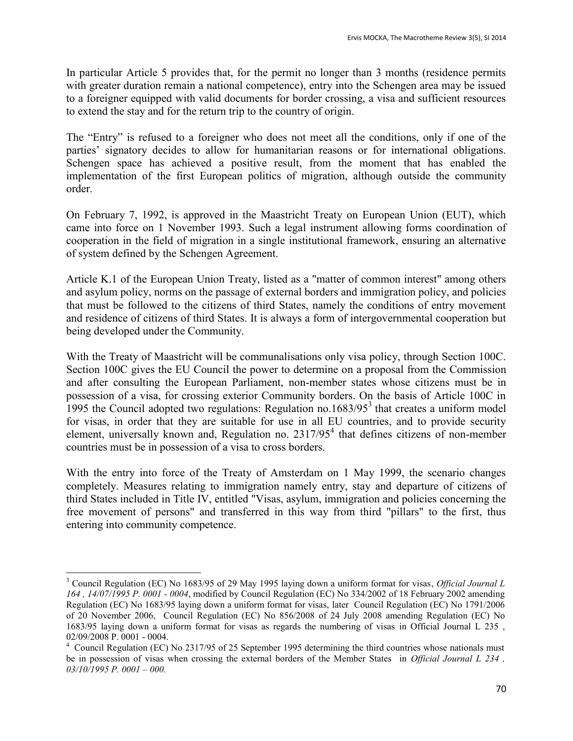In particular Article 5 provides that, for the permit no longer than 3 months (residence permits with greater duration remain a national competence), entry into the Schengen area may be issued to a foreigner equipped with valid documents for border crossing, a visa and sufficient resources to extend the stay and for the return trip to the country of origin.

The "Entry" is refused to a foreigner who does not meet all the conditions, only if one of the parties' signatory decides to allow for humanitarian reasons or for international obligations. Schengen space has achieved a positive result, from the moment that has enabled the implementation of the first European politics of migration, although outside the community order.

On February 7, 1992, is approved in the Maastricht Treaty on European Union (EUT), which came into force on 1 November 1993. Such a legal instrument allowing forms coordination of cooperation in the field of migration in a single institutional framework, ensuring an alternative of system defined by the Schengen Agreement.

Article K.1 of the European Union Treaty, listed as a "matter of common interest" among others and asylum policy, norms on the passage of external borders and immigration policy, and policies that must be followed to the citizens of third States, namely the conditions of entry movement and residence of citizens of third States. It is always a form of intergovernmental cooperation but being developed under the Community.

With the Treaty of Maastricht will be communalisations only visa policy, through Section 100C. Section 100C gives the EU Council the power to determine on a proposal from the Commission and after consulting the European Parliament, non-member states whose citizens must be in possession of a visa, for crossing exterior Community borders. On the basis of Article 100C in 1995 the Council adopted two regulations: Regulation no.1683/95 $3$  that creates a uniform model for visas, in order that they are suitable for use in all EU countries, and to provide security element, universally known and, Regulation no.  $2317/95<sup>4</sup>$  that defines citizens of non-member countries must be in possession of a visa to cross borders.

With the entry into force of the Treaty of Amsterdam on 1 May 1999, the scenario changes completely. Measures relating to immigration namely entry, stay and departure of citizens of third States included in Title IV, entitled "Visas, asylum, immigration and policies concerning the free movement of persons" and transferred in this way from third "pillars" to the first, thus entering into community competence.

<sup>3</sup> Council Regulation (EC) No 1683/95 of 29 May 1995 laying down a uniform format for visas, *Official Journal L 164 , 14/07/1995 P. 0001 - 0004*, modified by Council Regulation (EC) No 334/2002 of 18 February 2002 amending Regulation (EC) No 1683/95 laying down a uniform format for visas, later Council Regulation (EC) No 1791/2006 of 20 November 2006, Council Regulation (EC) No 856/2008 of 24 July 2008 amending Regulation (EC) No 1683/95 laying down a uniform format for visas as regards the numbering of visas in Official Journal L 235 , 02/09/2008 P. 0001 - 0004.

<sup>&</sup>lt;sup>4</sup> Council Regulation (EC) No 2317/95 of 25 September 1995 determining the third countries whose nationals must be in possession of visas when crossing the external borders of the Member States in *Official Journal L 234 , 03/10/1995 P. 0001 – 000.*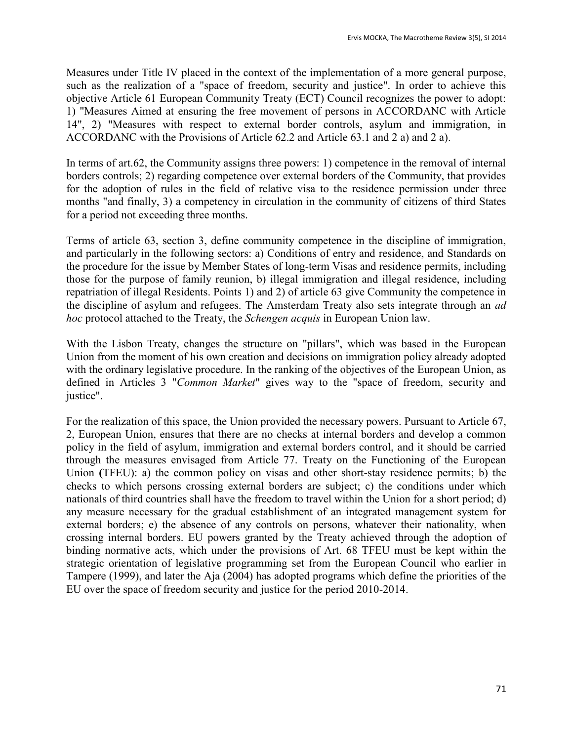Measures under Title IV placed in the context of the implementation of a more general purpose, such as the realization of a "space of freedom, security and justice". In order to achieve this objective Article 61 European Community Treaty (ECT) Council recognizes the power to adopt: 1) "Measures Aimed at ensuring the free movement of persons in ACCORDANC with Article 14", 2) "Measures with respect to external border controls, asylum and immigration, in ACCORDANC with the Provisions of Article 62.2 and Article 63.1 and 2 a) and 2 a).

In terms of art.62, the Community assigns three powers: 1) competence in the removal of internal borders controls; 2) regarding competence over external borders of the Community, that provides for the adoption of rules in the field of relative visa to the residence permission under three months "and finally, 3) a competency in circulation in the community of citizens of third States for a period not exceeding three months.

Terms of article 63, section 3, define community competence in the discipline of immigration, and particularly in the following sectors: a) Conditions of entry and residence, and Standards on the procedure for the issue by Member States of long-term Visas and residence permits, including those for the purpose of family reunion, b) illegal immigration and illegal residence, including repatriation of illegal Residents. Points 1) and 2) of article 63 give Community the competence in the discipline of asylum and refugees. The Amsterdam Treaty also sets integrate through an *ad hoc* protocol attached to the Treaty, the *Schengen acquis* in European Union law.

With the Lisbon Treaty, changes the structure on "pillars", which was based in the European Union from the moment of his own creation and decisions on immigration policy already adopted with the ordinary legislative procedure. In the ranking of the objectives of the European Union, as defined in Articles 3 "*Common Market*" gives way to the "space of freedom, security and justice".

For the realization of this space, the Union provided the necessary powers. Pursuant to Article 67, 2, European Union, ensures that there are no checks at internal borders and develop a common policy in the field of asylum, immigration and external borders control, and it should be carried through the measures envisaged from Article 77. Treaty on the Functioning of the European Union **(**TFEU): a) the common policy on visas and other short-stay residence permits; b) the checks to which persons crossing external borders are subject; c) the conditions under which nationals of third countries shall have the freedom to travel within the Union for a short period; d) any measure necessary for the gradual establishment of an integrated management system for external borders; e) the absence of any controls on persons, whatever their nationality, when crossing internal borders. EU powers granted by the Treaty achieved through the adoption of binding normative acts, which under the provisions of Art. 68 TFEU must be kept within the strategic orientation of legislative programming set from the European Council who earlier in Tampere (1999), and later the Aja (2004) has adopted programs which define the priorities of the EU over the space of freedom security and justice for the period 2010-2014.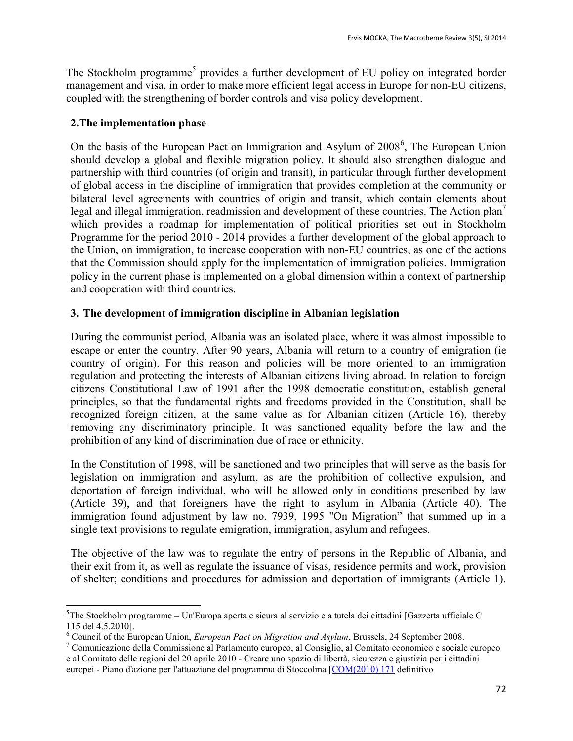The Stockholm programme<sup>5</sup> provides a further development of EU policy on integrated border management and visa, in order to make more efficient legal access in Europe for non-EU citizens, coupled with the strengthening of border controls and visa policy development.

# **2.The implementation phase**

On the basis of the European Pact on Immigration and Asylum of 2008<sup>6</sup>, The European Union should develop a global and flexible migration policy. It should also strengthen dialogue and partnership with third countries (of origin and transit), in particular through further development of global access in the discipline of immigration that provides completion at the community or bilateral level agreements with countries of origin and transit, which contain elements about legal and illegal immigration, readmission and development of these countries. The Action plan<sup>7</sup> which provides a roadmap for implementation of political priorities set out in Stockholm Programme for the period 2010 - 2014 provides a further development of the global approach to the Union, on immigration, to increase cooperation with non-EU countries, as one of the actions that the Commission should apply for the implementation of immigration policies. Immigration policy in the current phase is implemented on a global dimension within a context of partnership and cooperation with third countries.

# **3. The development of immigration discipline in Albanian legislation**

During the communist period, Albania was an isolated place, where it was almost impossible to escape or enter the country. After 90 years, Albania will return to a country of emigration (ie country of origin). For this reason and policies will be more oriented to an immigration regulation and protecting the interests of Albanian citizens living abroad. In relation to foreign citizens Constitutional Law of 1991 after the 1998 democratic constitution, establish general principles, so that the fundamental rights and freedoms provided in the Constitution, shall be recognized foreign citizen, at the same value as for Albanian citizen (Article 16), thereby removing any discriminatory principle. It was sanctioned equality before the law and the prohibition of any kind of discrimination due of race or ethnicity.

In the Constitution of 1998, will be sanctioned and two principles that will serve as the basis for legislation on immigration and asylum, as are the prohibition of collective expulsion, and deportation of foreign individual, who will be allowed only in conditions prescribed by law (Article 39), and that foreigners have the right to asylum in Albania (Article 40). The immigration found adjustment by law no. 7939, 1995 "On Migration" that summed up in a single text provisions to regulate emigration, immigration, asylum and refugees.

The objective of the law was to regulate the entry of persons in the Republic of Albania, and their exit from it, as well as regulate the issuance of visas, residence permits and work, provision of shelter; conditions and procedures for admission and deportation of immigrants (Article 1).

 $\overline{a}$ <sup>5</sup>[The](http://eur-lex.europa.eu/LexUriServ/LexUriServ.do?uri=CELEX:52010XG0504%2801%29:IT:NOT) Stockholm programme – Un'Europa aperta e sicura al servizio e a tutela dei cittadini [Gazzetta ufficiale C 115 del 4.5.2010].

<sup>6</sup> Council of the European Union, *European Pact on Migration and Asylum*, Brussels, 24 September 2008.

<sup>7</sup> Comunicazione della Commissione al Parlamento europeo, al Consiglio, al Comitato economico e sociale europeo e al Comitato delle regioni del 20 aprile 2010 - Creare uno spazio di libertà, sicurezza e giustizia per i cittadini europei - Piano d'azione per l'attuazione del programma di Stoccolma [\[COM\(2010\) 171](http://eur-lex.europa.eu/LexUriServ/LexUriServ.do?uri=CELEX:52010DC0171:IT:NOT) definitivo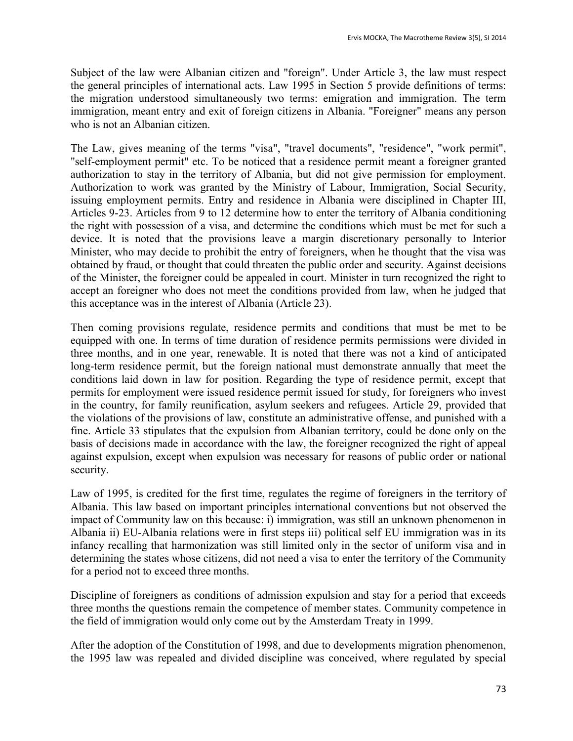Subject of the law were Albanian citizen and "foreign". Under Article 3, the law must respect the general principles of international acts. Law 1995 in Section 5 provide definitions of terms: the migration understood simultaneously two terms: emigration and immigration. The term immigration, meant entry and exit of foreign citizens in Albania. "Foreigner" means any person who is not an Albanian citizen.

The Law, gives meaning of the terms "visa", "travel documents", "residence", "work permit", "self-employment permit" etc. To be noticed that a residence permit meant a foreigner granted authorization to stay in the territory of Albania, but did not give permission for employment. Authorization to work was granted by the Ministry of Labour, Immigration, Social Security, issuing employment permits. Entry and residence in Albania were disciplined in Chapter III, Articles 9-23. Articles from 9 to 12 determine how to enter the territory of Albania conditioning the right with possession of a visa, and determine the conditions which must be met for such a device. It is noted that the provisions leave a margin discretionary personally to Interior Minister, who may decide to prohibit the entry of foreigners, when he thought that the visa was obtained by fraud, or thought that could threaten the public order and security. Against decisions of the Minister, the foreigner could be appealed in court. Minister in turn recognized the right to accept an foreigner who does not meet the conditions provided from law, when he judged that this acceptance was in the interest of Albania (Article 23).

Then coming provisions regulate, residence permits and conditions that must be met to be equipped with one. In terms of time duration of residence permits permissions were divided in three months, and in one year, renewable. It is noted that there was not a kind of anticipated long-term residence permit, but the foreign national must demonstrate annually that meet the conditions laid down in law for position. Regarding the type of residence permit, except that permits for employment were issued residence permit issued for study, for foreigners who invest in the country, for family reunification, asylum seekers and refugees. Article 29, provided that the violations of the provisions of law, constitute an administrative offense, and punished with a fine. Article 33 stipulates that the expulsion from Albanian territory, could be done only on the basis of decisions made in accordance with the law, the foreigner recognized the right of appeal against expulsion, except when expulsion was necessary for reasons of public order or national security.

Law of 1995, is credited for the first time, regulates the regime of foreigners in the territory of Albania. This law based on important principles international conventions but not observed the impact of Community law on this because: i) immigration, was still an unknown phenomenon in Albania ii) EU-Albania relations were in first steps iii) political self EU immigration was in its infancy recalling that harmonization was still limited only in the sector of uniform visa and in determining the states whose citizens, did not need a visa to enter the territory of the Community for a period not to exceed three months.

Discipline of foreigners as conditions of admission expulsion and stay for a period that exceeds three months the questions remain the competence of member states. Community competence in the field of immigration would only come out by the Amsterdam Treaty in 1999.

After the adoption of the Constitution of 1998, and due to developments migration phenomenon, the 1995 law was repealed and divided discipline was conceived, where regulated by special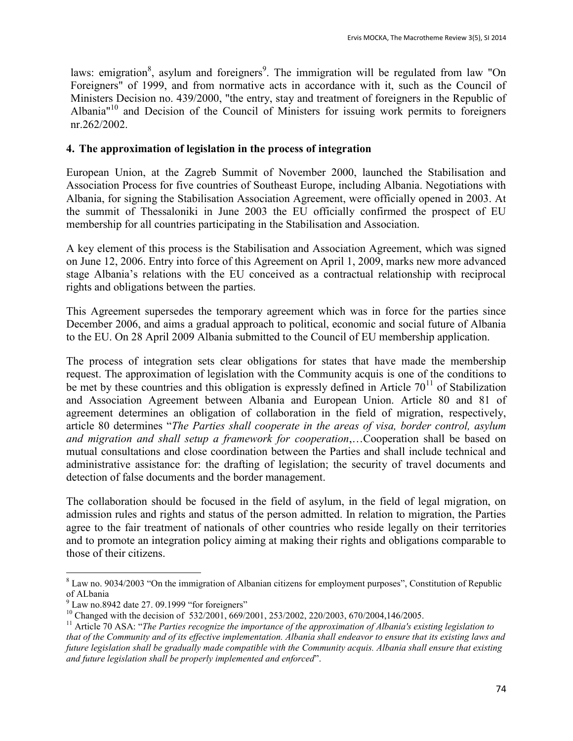laws: emigration<sup>8</sup>, asylum and foreigners<sup>9</sup>. The immigration will be regulated from law "On Foreigners" of 1999, and from normative acts in accordance with it, such as the Council of Ministers Decision no. 439/2000, "the entry, stay and treatment of foreigners in the Republic of Albania" $10$  and Decision of the Council of Ministers for issuing work permits to foreigners nr.262/2002.

### **4. The approximation of legislation in the process of integration**

European Union, at the Zagreb Summit of November 2000, launched the Stabilisation and Association Process for five countries of Southeast Europe, including Albania. Negotiations with Albania, for signing the Stabilisation Association Agreement, were officially opened in 2003. At the summit of Thessaloniki in June 2003 the EU officially confirmed the prospect of EU membership for all countries participating in the Stabilisation and Association.

A key element of this process is the Stabilisation and Association Agreement, which was signed on June 12, 2006. Entry into force of this Agreement on April 1, 2009, marks new more advanced stage Albania's relations with the EU conceived as a contractual relationship with reciprocal rights and obligations between the parties.

This Agreement supersedes the temporary agreement which was in force for the parties since December 2006, and aims a gradual approach to political, economic and social future of Albania to the EU. On 28 April 2009 Albania submitted to the Council of EU membership application.

The process of integration sets clear obligations for states that have made the membership request. The approximation of legislation with the Community acquis is one of the conditions to be met by these countries and this obligation is expressly defined in Article  $70^{11}$  of Stabilization and Association Agreement between Albania and European Union. Article 80 and 81 of agreement determines an obligation of collaboration in the field of migration, respectively, article 80 determines "*The Parties shall cooperate in the areas of visa, border control, asylum and migration and shall setup a framework for cooperation*,…Cooperation shall be based on mutual consultations and close coordination between the Parties and shall include technical and administrative assistance for: the drafting of legislation; the security of travel documents and detection of false documents and the border management.

The collaboration should be focused in the field of asylum, in the field of legal migration, on admission rules and rights and status of the person admitted. In relation to migration, the Parties agree to the fair treatment of nationals of other countries who reside legally on their territories and to promote an integration policy aiming at making their rights and obligations comparable to those of their citizens.

<sup>&</sup>lt;sup>8</sup> Law no. 9034/2003 "On the immigration of Albanian citizens for employment purposes", Constitution of Republic of ALbania

 $9$  Law no.8942 date 27. 09.1999 "for foreigners"

<sup>&</sup>lt;sup>10</sup> Changed with the decision of 532/2001, 669/2001, 253/2002, 220/2003, 670/2004,146/2005.

<sup>&</sup>lt;sup>11</sup> Article 70 ASA: "The Parties recognize the importance of the approximation of Albania's existing legislation to *that of the Community and of its effective implementation. Albania shall endeavor to ensure that its existing laws and future legislation shall be gradually made compatible with the Community acquis. Albania shall ensure that existing and future legislation shall be properly implemented and enforced*".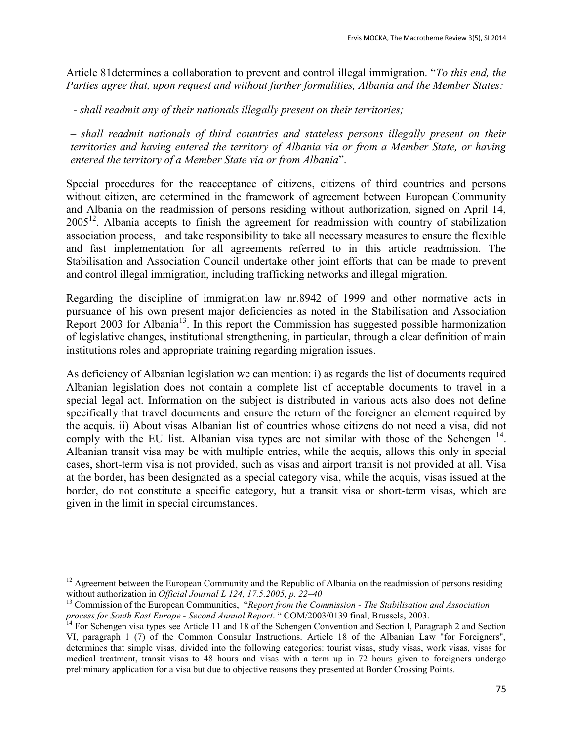Article 81determines a collaboration to prevent and control illegal immigration. "*To this end, the Parties agree that, upon request and without further formalities, Albania and the Member States:*

*- shall readmit any of their nationals illegally present on their territories;* 

*– shall readmit nationals of third countries and stateless persons illegally present on their territories and having entered the territory of Albania via or from a Member State, or having entered the territory of a Member State via or from Albania*".

Special procedures for the reacceptance of citizens, citizens of third countries and persons without citizen, are determined in the framework of agreement between European Community and Albania on the readmission of persons residing without authorization, signed on April 14,  $2005^{12}$ . Albania accepts to finish the agreement for readmission with country of stabilization association process, and take responsibility to take all necessary measures to ensure the flexible and fast implementation for all agreements referred to in this article readmission. The Stabilisation and Association Council undertake other joint efforts that can be made to prevent and control illegal immigration, including trafficking networks and illegal migration.

Regarding the discipline of immigration law nr.8942 of 1999 and other normative acts in pursuance of his own present major deficiencies as noted in the Stabilisation and Association Report 2003 for Albania<sup>13</sup>. In this report the Commission has suggested possible harmonization of legislative changes, institutional strengthening, in particular, through a clear definition of main institutions roles and appropriate training regarding migration issues.

As deficiency of Albanian legislation we can mention: i) as regards the list of documents required Albanian legislation does not contain a complete list of acceptable documents to travel in a special legal act. Information on the subject is distributed in various acts also does not define specifically that travel documents and ensure the return of the foreigner an element required by the acquis. ii) About visas Albanian list of countries whose citizens do not need a visa, did not comply with the EU list. Albanian visa types are not similar with those of the Schengen  $14$ . Albanian transit visa may be with multiple entries, while the acquis, allows this only in special cases, short-term visa is not provided, such as visas and airport transit is not provided at all. Visa at the border, has been designated as a special category visa, while the acquis, visas issued at the border, do not constitute a specific category, but a transit visa or short-term visas, which are given in the limit in special circumstances.

<sup>&</sup>lt;sup>12</sup> Agreement between the European Community and the Republic of Albania on the readmission of persons residing without authorization in *Official Journal L 124, 17.5.2005, p. 22–40*

<sup>13</sup> Commission of the European Communities, "*Report from the Commission - The Stabilisation and Association process for South East Europe - Second Annual Report*. " COM/2003/0139 final, Brussels, 2003.

<sup>&</sup>lt;sup>14</sup> For Schengen visa types see Article 11 and 18 of the Schengen Convention and Section I, Paragraph 2 and Section VI, paragraph 1 (7) of the Common Consular Instructions. Article 18 of the Albanian Law "for Foreigners", determines that simple visas, divided into the following categories: tourist visas, study visas, work visas, visas for medical treatment, transit visas to 48 hours and visas with a term up in 72 hours given to foreigners undergo preliminary application for a visa but due to objective reasons they presented at Border Crossing Points.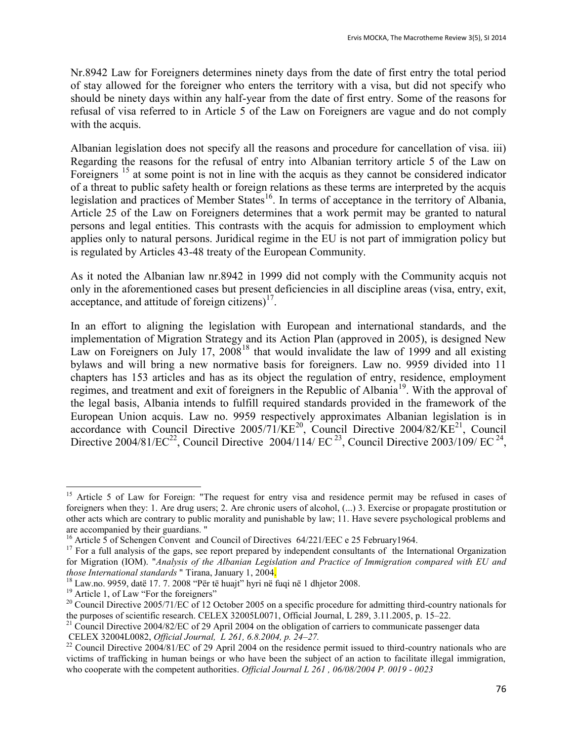Nr.8942 Law for Foreigners determines ninety days from the date of first entry the total period of stay allowed for the foreigner who enters the territory with a visa, but did not specify who should be ninety days within any half-year from the date of first entry. Some of the reasons for refusal of visa referred to in Article 5 of the Law on Foreigners are vague and do not comply with the acquis.

Albanian legislation does not specify all the reasons and procedure for cancellation of visa. iii) Regarding the reasons for the refusal of entry into Albanian territory article 5 of the Law on Foreigners<sup>15</sup> at some point is not in line with the acquis as they cannot be considered indicator of a threat to public safety health or foreign relations as these terms are interpreted by the acquis legislation and practices of Member States<sup>16</sup>. In terms of acceptance in the territory of Albania, Article 25 of the Law on Foreigners determines that a work permit may be granted to natural persons and legal entities. This contrasts with the acquis for admission to employment which applies only to natural persons. Juridical regime in the EU is not part of immigration policy but is regulated by Articles 43-48 treaty of the European Community.

As it noted the Albanian law nr.8942 in 1999 did not comply with the Community acquis not only in the aforementioned cases but present deficiencies in all discipline areas (visa, entry, exit, acceptance, and attitude of foreign citizens) $17$ .

In an effort to aligning the legislation with European and international standards, and the implementation of Migration Strategy and its Action Plan (approved in 2005), is designed New Law on Foreigners on July 17,  $2008^{18}$  that would invalidate the law of 1999 and all existing bylaws and will bring a new normative basis for foreigners. Law no. 9959 divided into 11 chapters has 153 articles and has as its object the regulation of entry, residence, employment regimes, and treatment and exit of foreigners in the Republic of Albania<sup>19</sup>. With the approval of the legal basis, Albania intends to fulfill required standards provided in the framework of the European Union acquis. Law no. 9959 respectively approximates Albanian legislation is in accordance with Council Directive  $2005/71/KE^{20}$ , Council Directive  $2004/82/KE^{21}$ , Council Directive 2004/81/EC<sup>22</sup>, Council Directive 2004/114/ EC<sup>23</sup>, Council Directive 2003/109/ EC<sup>24</sup>,

<sup>&</sup>lt;sup>15</sup> Article 5 of Law for Foreign: "The request for entry visa and residence permit may be refused in cases of foreigners when they: 1. Are drug users; 2. Are chronic users of alcohol, (...) 3. Exercise or propagate prostitution or other acts which are contrary to public morality and punishable by law; 11. Have severe psychological problems and are accompanied by their guardians. "

<sup>&</sup>lt;sup>16</sup> Article 5 of Schengen Convent and Council of Directives 64/221/EEC e 25 February1964.

<sup>&</sup>lt;sup>17</sup> For a full analysis of the gaps, see report prepared by independent consultants of the International Organization for Migration (IOM). "*Analysis of the Albanian Legislation and Practice of Immigration compared with EU and those International standards* " Tirana, January 1, 2004.

 $18$  Law.no. 9959, datë 17. 7. 2008 "Për të huajt" hyri në fuqi në 1 dhjetor 2008.

<sup>&</sup>lt;sup>19</sup> Article 1, of Law "For the foreigners"

<sup>&</sup>lt;sup>20</sup> Council Directive 2005/71/EC of 12 October 2005 on a specific procedure for admitting third-country nationals for the purposes of scientific research. CELEX 32005L0071, Official Journal, L 289, 3.11.2005, p. 15–22.

<sup>&</sup>lt;sup>21</sup> Council Directive 2004/82/EC of 29 April 2004 on the obligation of carriers to communicate passenger data CELEX 32004L0082, *Official Journal, L 261, 6.8.2004, p. 24–27.*

<sup>&</sup>lt;sup>22</sup> Council Directive 2004/81/EC of 29 April 2004 on the residence permit issued to third-country nationals who are victims of trafficking in human beings or who have been the subject of an action to facilitate illegal immigration, who cooperate with the competent authorities. *Official Journal L 261 , 06/08/2004 P. 0019 - 0023*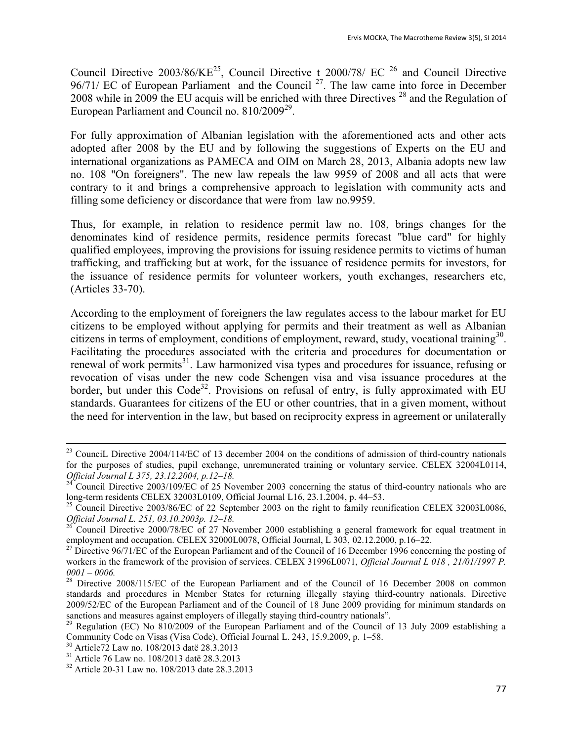Council Directive 2003/86/KE<sup>25</sup>, Council Directive t 2000/78/ EC <sup>26</sup> and Council Directive  $96/71/$  EC of European Parliament and the Council  $^{27}$ . The law came into force in December 2008 while in 2009 the EU acquis will be enriched with three Directives  $^{28}$  and the Regulation of European Parliament and Council no. 810/2009<sup>29</sup>.

For fully approximation of Albanian legislation with the aforementioned acts and other acts adopted after 2008 by the EU and by following the suggestions of Experts on the EU and international organizations as PAMECA and OIM on March 28, 2013, Albania adopts new law no. 108 "On foreigners". The new law repeals the law 9959 of 2008 and all acts that were contrary to it and brings a comprehensive approach to legislation with community acts and filling some deficiency or discordance that were from law no.9959.

Thus, for example, in relation to residence permit law no. 108, brings changes for the denominates kind of residence permits, residence permits forecast "blue card" for highly qualified employees, improving the provisions for issuing residence permits to victims of human trafficking, and trafficking but at work, for the issuance of residence permits for investors, for the issuance of residence permits for volunteer workers, youth exchanges, researchers etc, (Articles 33-70).

According to the employment of foreigners the law regulates access to the labour market for EU citizens to be employed without applying for permits and their treatment as well as Albanian citizens in terms of employment, conditions of employment, reward, study, vocational training<sup>30</sup>. Facilitating the procedures associated with the criteria and procedures for documentation or renewal of work permits<sup>31</sup>. Law harmonized visa types and procedures for issuance, refusing or revocation of visas under the new code Schengen visa and visa issuance procedures at the border, but under this Code<sup>32</sup>. Provisions on refusal of entry, is fully approximated with EU standards. Guarantees for citizens of the EU or other countries, that in a given moment, without the need for intervention in the law, but based on reciprocity express in agreement or unilaterally

<sup>&</sup>lt;sup>23</sup> CounciL Directive 2004/114/EC of 13 december 2004 on the conditions of admission of third-country nationals for the purposes of studies, pupil exchange, unremunerated training or voluntary service. CELEX 32004L0114, *Official Journal L 375, 23.12.2004, p.12–18.*

 $24^{\circ}$  Council Directive 2003/109/EC of 25 November 2003 concerning the status of third-country nationals who are long-term residents CELEX 32003L0109, Official Journal L16, 23.1.2004, p. 44–53.

<sup>&</sup>lt;sup>25</sup> Council Directive 2003/86/EC of 22 September 2003 on the right to family reunification CELEX 32003L0086, *Official Journal L. 251, 03.10.2003p. 12–18.*

 $^{26}$  Council Directive 2000/78/EC of 27 November 2000 establishing a general framework for equal treatment in employment and occupation. CELEX 32000L0078, Official Journal, L 303, 02.12.2000, p.16–22.

<sup>&</sup>lt;sup>27</sup> Directive 96/71/EC of the European Parliament and of the Council of 16 December 1996 concerning the posting of workers in the framework of the provision of services. CELEX 31996L0071, *Official Journal L 018 , 21/01/1997 P. 0001 – 0006.*

<sup>&</sup>lt;sup>28</sup> Directive 2008/115/EC of the European Parliament and of the Council of 16 December 2008 on common standards and procedures in Member States for returning illegally staying third-country nationals. Directive 2009/52/EC of the European Parliament and of the Council of 18 June 2009 providing for minimum standards on sanctions and measures against employers of illegally staying third-country nationals".

<sup>&</sup>lt;sup>29</sup> Regulation (EC) No 810/2009 of the European Parliament and of the Council of 13 July 2009 establishing a Community Code on Visas (Visa Code), Official Journal L. 243, 15.9.2009, p. 1–58.

<sup>30</sup> Article72 Law no. 108/2013 datë 28.3.2013

<sup>31</sup> Article 76 Law no. 108/2013 datë 28.3.2013

<sup>32</sup> Article 20-31 Law no. 108/2013 date 28.3.2013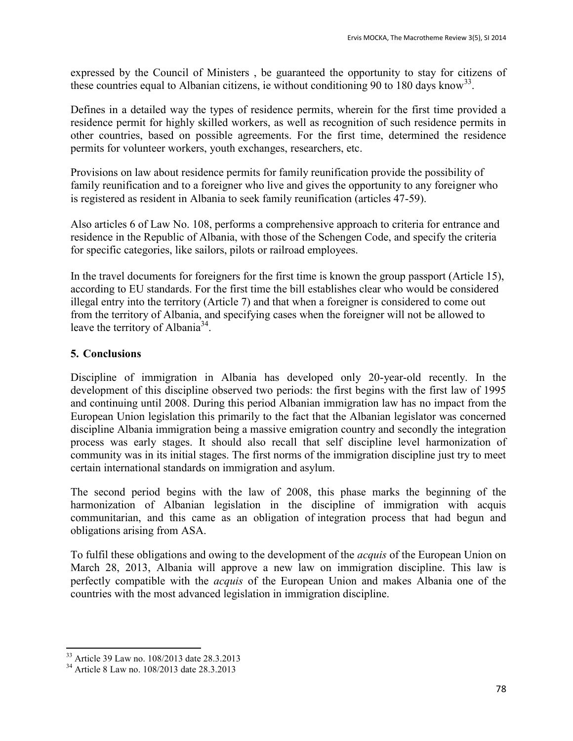expressed by the Council of Ministers , be guaranteed the opportunity to stay for citizens of these countries equal to Albanian citizens, ie without conditioning 90 to 180 days know<sup>33</sup>.

Defines in a detailed way the types of residence permits, wherein for the first time provided a residence permit for highly skilled workers, as well as recognition of such residence permits in other countries, based on possible agreements. For the first time, determined the residence permits for volunteer workers, youth exchanges, researchers, etc.

Provisions on law about residence permits for family reunification provide the possibility of family reunification and to a foreigner who live and gives the opportunity to any foreigner who is registered as resident in Albania to seek family reunification (articles 47-59).

Also articles 6 of Law No. 108, performs a comprehensive approach to criteria for entrance and residence in the Republic of Albania, with those of the Schengen Code, and specify the criteria for specific categories, like sailors, pilots or railroad employees.

In the travel documents for foreigners for the first time is known the group passport (Article 15), according to EU standards. For the first time the bill establishes clear who would be considered illegal entry into the territory (Article 7) and that when a foreigner is considered to come out from the territory of Albania, and specifying cases when the foreigner will not be allowed to leave the territory of Albania<sup>34</sup>.

# **5. Conclusions**

Discipline of immigration in Albania has developed only 20-year-old recently. In the development of this discipline observed two periods: the first begins with the first law of 1995 and continuing until 2008. During this period Albanian immigration law has no impact from the European Union legislation this primarily to the fact that the Albanian legislator was concerned discipline Albania immigration being a massive emigration country and secondly the integration process was early stages. It should also recall that self discipline level harmonization of community was in its initial stages. The first norms of the immigration discipline just try to meet certain international standards on immigration and asylum.

The second period begins with the law of 2008, this phase marks the beginning of the harmonization of Albanian legislation in the discipline of immigration with acquis communitarian, and this came as an obligation of integration process that had begun and obligations arising from ASA.

To fulfil these obligations and owing to the development of the *acquis* of the European Union on March 28, 2013, Albania will approve a new law on immigration discipline. This law is perfectly compatible with the *acquis* of the European Union and makes Albania one of the countries with the most advanced legislation in immigration discipline.

 $\overline{a}$ <sup>33</sup> Article 39 Law no. 108/2013 date 28.3.2013

<sup>34</sup> Article 8 Law no. 108/2013 date 28.3.2013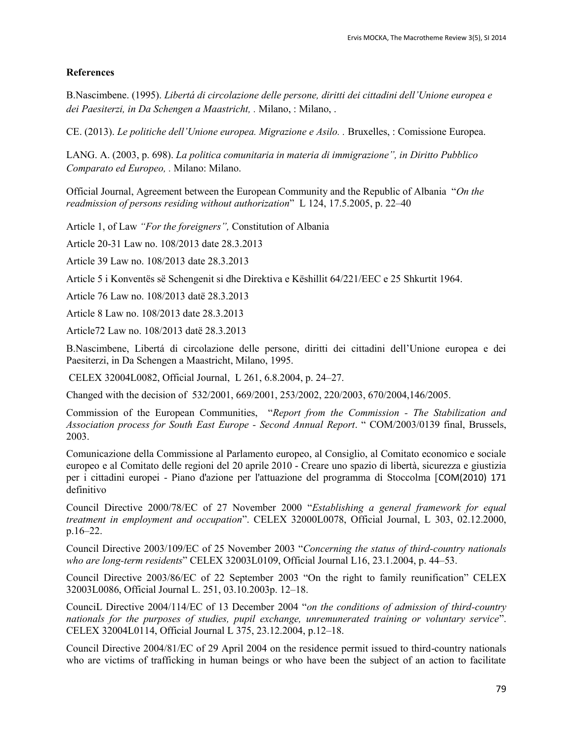#### **References**

B.Nascimbene. (1995). *Libertá di circolazione delle persone, diritti dei cittadini dell'Unione europea e dei Paesiterzi, in Da Schengen a Maastricht, .* Milano, : Milano, .

CE. (2013). *Le politiche dell'Unione europea. Migrazione e Asilo. .* Bruxelles, : Comissione Europea.

LANG. A. (2003, p. 698). *La politica comunitaria in materia di immigrazione", in Diritto Pubblico Comparato ed Europeo, .* Milano: Milano.

Official Journal, Agreement between the European Community and the Republic of Albania "*On the readmission of persons residing without authorization*" L 124, 17.5.2005, p. 22–40

Article 1, of Law *"For the foreigners",* Constitution of Albania

Article 20-31 Law no. 108/2013 date 28.3.2013

Article 39 Law no. 108/2013 date 28.3.2013

Article 5 i Konventës së Schengenit si dhe Direktiva e Këshillit 64/221/EEC e 25 Shkurtit 1964.

Article 76 Law no. 108/2013 datë 28.3.2013

Article 8 Law no. 108/2013 date 28.3.2013

Article72 Law no. 108/2013 datë 28.3.2013

B.Nascimbene, Libertá di circolazione delle persone, diritti dei cittadini dell'Unione europea e dei Paesiterzi, in Da Schengen a Maastricht, Milano, 1995.

CELEX 32004L0082, Official Journal, L 261, 6.8.2004, p. 24–27.

Changed with the decision of 532/2001, 669/2001, 253/2002, 220/2003, 670/2004,146/2005.

Commission of the European Communities, "*Report from the Commission - The Stabilization and Association process for South East Europe - Second Annual Report*. " COM/2003/0139 final, Brussels, 2003.

Comunicazione della Commissione al Parlamento europeo, al Consiglio, al Comitato economico e sociale europeo e al Comitato delle regioni del 20 aprile 2010 - Creare uno spazio di libertà, sicurezza e giustizia per i cittadini europei - Piano d'azione per l'attuazione del programma di Stoccolma [[COM\(2010\) 171](http://eur-lex.europa.eu/LexUriServ/LexUriServ.do?uri=CELEX:52010DC0171:IT:NOT) definitivo

Council Directive 2000/78/EC of 27 November 2000 "*Establishing a general framework for equal treatment in employment and occupation*". CELEX 32000L0078, Official Journal, L 303, 02.12.2000, p.16–22.

Council Directive 2003/109/EC of 25 November 2003 "*Concerning the status of third-country nationals who are long-term residents*" CELEX 32003L0109, Official Journal L16, 23.1.2004, p. 44–53.

Council Directive 2003/86/EC of 22 September 2003 "On the right to family reunification" CELEX 32003L0086, Official Journal L. 251, 03.10.2003p. 12–18.

CounciL Directive 2004/114/EC of 13 December 2004 "*on the conditions of admission of third-country nationals for the purposes of studies, pupil exchange, unremunerated training or voluntary service*". CELEX 32004L0114, Official Journal L 375, 23.12.2004, p.12–18.

Council Directive 2004/81/EC of 29 April 2004 on the residence permit issued to third-country nationals who are victims of trafficking in human beings or who have been the subject of an action to facilitate